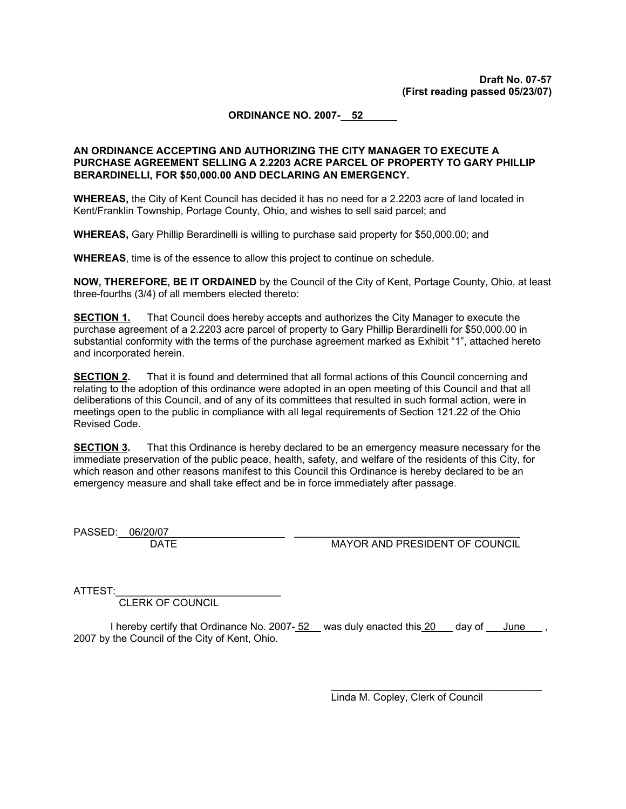#### **ORDINANCE NO. 2007- 52**

#### **AN ORDINANCE ACCEPTING AND AUTHORIZING THE CITY MANAGER TO EXECUTE A PURCHASE AGREEMENT SELLING A 2.2203 ACRE PARCEL OF PROPERTY TO GARY PHILLIP BERARDINELLI, FOR \$50,000.00 AND DECLARING AN EMERGENCY.**

**WHEREAS,** the City of Kent Council has decided it has no need for a 2.2203 acre of land located in Kent/Franklin Township, Portage County, Ohio, and wishes to sell said parcel; and

**WHEREAS,** Gary Phillip Berardinelli is willing to purchase said property for \$50,000.00; and

**WHEREAS**, time is of the essence to allow this project to continue on schedule.

**NOW, THEREFORE, BE IT ORDAINED** by the Council of the City of Kent, Portage County, Ohio, at least three-fourths (3/4) of all members elected thereto:

**SECTION 1.** That Council does hereby accepts and authorizes the City Manager to execute the purchase agreement of a 2.2203 acre parcel of property to Gary Phillip Berardinelli for \$50,000.00 in substantial conformity with the terms of the purchase agreement marked as Exhibit "1", attached hereto and incorporated herein.

**SECTION 2.** That it is found and determined that all formal actions of this Council concerning and relating to the adoption of this ordinance were adopted in an open meeting of this Council and that all deliberations of this Council, and of any of its committees that resulted in such formal action, were in meetings open to the public in compliance with all legal requirements of Section 121.22 of the Ohio Revised Code.

**SECTION 3.** That this Ordinance is hereby declared to be an emergency measure necessary for the immediate preservation of the public peace, health, safety, and welfare of the residents of this City, for which reason and other reasons manifest to this Council this Ordinance is hereby declared to be an emergency measure and shall take effect and be in force immediately after passage.

PASSED: 06/20/07

DATE MAYOR AND PRESIDENT OF COUNCIL

ATTEST:

CLERK OF COUNCIL

I hereby certify that Ordinance No. 2007-52 was duly enacted this 20 day of June, 2007 by the Council of the City of Kent, Ohio.

Linda M. Copley, Clerk of Council

 $\mathcal{L}_\text{max}$  , and the set of the set of the set of the set of the set of the set of the set of the set of the set of the set of the set of the set of the set of the set of the set of the set of the set of the set of the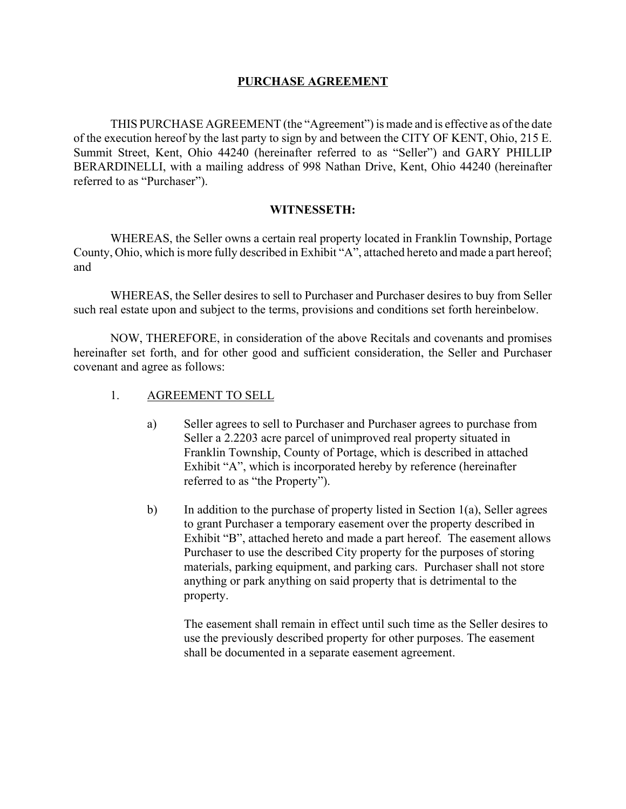## **PURCHASE AGREEMENT**

THIS PURCHASE AGREEMENT (the "Agreement") is made and is effective as of the date of the execution hereof by the last party to sign by and between the CITY OF KENT, Ohio, 215 E. Summit Street, Kent, Ohio 44240 (hereinafter referred to as "Seller") and GARY PHILLIP BERARDINELLI, with a mailing address of 998 Nathan Drive, Kent, Ohio 44240 (hereinafter referred to as "Purchaser").

## **WITNESSETH:**

WHEREAS, the Seller owns a certain real property located in Franklin Township, Portage County, Ohio, which is more fully described in Exhibit "A", attached hereto and made a part hereof; and

WHEREAS, the Seller desires to sell to Purchaser and Purchaser desires to buy from Seller such real estate upon and subject to the terms, provisions and conditions set forth hereinbelow.

NOW, THEREFORE, in consideration of the above Recitals and covenants and promises hereinafter set forth, and for other good and sufficient consideration, the Seller and Purchaser covenant and agree as follows:

- 1. AGREEMENT TO SELL
	- a) Seller agrees to sell to Purchaser and Purchaser agrees to purchase from Seller a 2.2203 acre parcel of unimproved real property situated in Franklin Township, County of Portage, which is described in attached Exhibit "A", which is incorporated hereby by reference (hereinafter referred to as "the Property").
	- b) In addition to the purchase of property listed in Section 1(a), Seller agrees to grant Purchaser a temporary easement over the property described in Exhibit "B", attached hereto and made a part hereof. The easement allows Purchaser to use the described City property for the purposes of storing materials, parking equipment, and parking cars. Purchaser shall not store anything or park anything on said property that is detrimental to the property.

The easement shall remain in effect until such time as the Seller desires to use the previously described property for other purposes. The easement shall be documented in a separate easement agreement.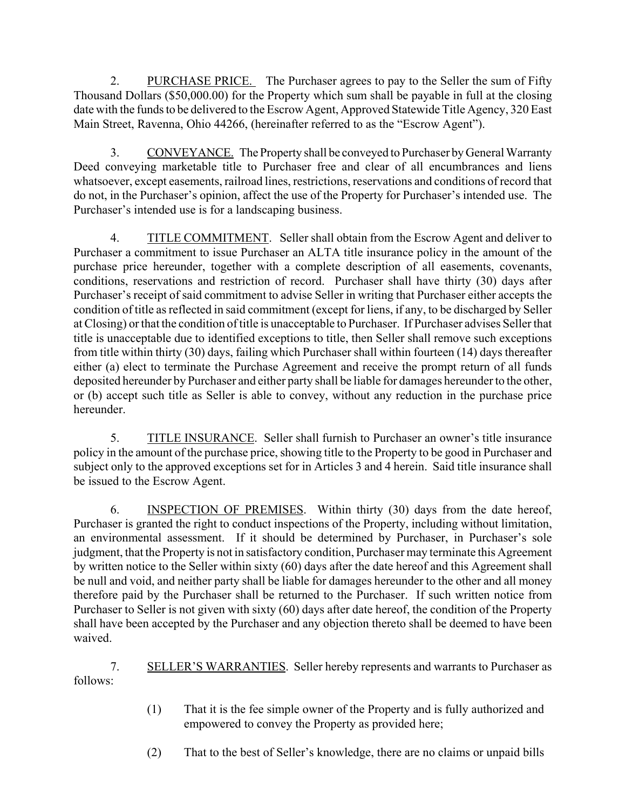2. PURCHASE PRICE. The Purchaser agrees to pay to the Seller the sum of Fifty Thousand Dollars (\$50,000.00) for the Property which sum shall be payable in full at the closing date with the funds to be delivered to the Escrow Agent, Approved Statewide Title Agency, 320 East Main Street, Ravenna, Ohio 44266, (hereinafter referred to as the "Escrow Agent").

3. CONVEYANCE. The Property shall be conveyed to Purchaser by General Warranty Deed conveying marketable title to Purchaser free and clear of all encumbrances and liens whatsoever, except easements, railroad lines, restrictions, reservations and conditions of record that do not, in the Purchaser's opinion, affect the use of the Property for Purchaser's intended use. The Purchaser's intended use is for a landscaping business.

4. TITLE COMMITMENT. Seller shall obtain from the Escrow Agent and deliver to Purchaser a commitment to issue Purchaser an ALTA title insurance policy in the amount of the purchase price hereunder, together with a complete description of all easements, covenants, conditions, reservations and restriction of record. Purchaser shall have thirty (30) days after Purchaser's receipt of said commitment to advise Seller in writing that Purchaser either accepts the condition of title as reflected in said commitment (except for liens, if any, to be discharged by Seller at Closing) or that the condition of title is unacceptable to Purchaser. If Purchaser advises Seller that title is unacceptable due to identified exceptions to title, then Seller shall remove such exceptions from title within thirty (30) days, failing which Purchaser shall within fourteen (14) days thereafter either (a) elect to terminate the Purchase Agreement and receive the prompt return of all funds deposited hereunder by Purchaser and either party shall be liable for damages hereunder to the other, or (b) accept such title as Seller is able to convey, without any reduction in the purchase price hereunder.

5. TITLE INSURANCE. Seller shall furnish to Purchaser an owner's title insurance policy in the amount of the purchase price, showing title to the Property to be good in Purchaser and subject only to the approved exceptions set for in Articles 3 and 4 herein. Said title insurance shall be issued to the Escrow Agent.

6. INSPECTION OF PREMISES. Within thirty (30) days from the date hereof, Purchaser is granted the right to conduct inspections of the Property, including without limitation, an environmental assessment. If it should be determined by Purchaser, in Purchaser's sole judgment, that the Property is not in satisfactory condition, Purchaser may terminate this Agreement by written notice to the Seller within sixty (60) days after the date hereof and this Agreement shall be null and void, and neither party shall be liable for damages hereunder to the other and all money therefore paid by the Purchaser shall be returned to the Purchaser. If such written notice from Purchaser to Seller is not given with sixty (60) days after date hereof, the condition of the Property shall have been accepted by the Purchaser and any objection thereto shall be deemed to have been waived.

7. SELLER'S WARRANTIES. Seller hereby represents and warrants to Purchaser as follows:

- (1) That it is the fee simple owner of the Property and is fully authorized and empowered to convey the Property as provided here;
- (2) That to the best of Seller's knowledge, there are no claims or unpaid bills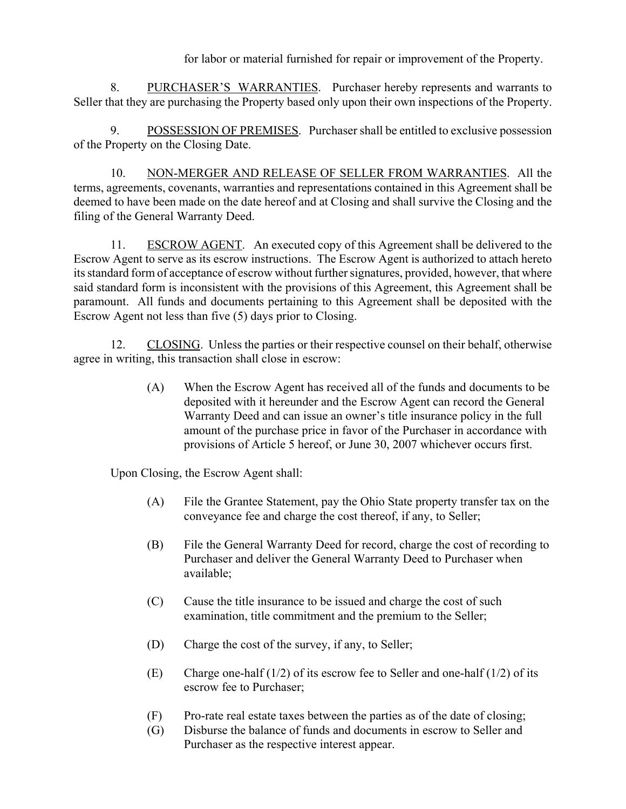for labor or material furnished for repair or improvement of the Property.

8. PURCHASER'S WARRANTIES. Purchaser hereby represents and warrants to Seller that they are purchasing the Property based only upon their own inspections of the Property.

9. POSSESSION OF PREMISES. Purchaser shall be entitled to exclusive possession of the Property on the Closing Date.

10. NON-MERGER AND RELEASE OF SELLER FROM WARRANTIES. All the terms, agreements, covenants, warranties and representations contained in this Agreement shall be deemed to have been made on the date hereof and at Closing and shall survive the Closing and the filing of the General Warranty Deed.

11. ESCROW AGENT. An executed copy of this Agreement shall be delivered to the Escrow Agent to serve as its escrow instructions. The Escrow Agent is authorized to attach hereto its standard form of acceptance of escrow without further signatures, provided, however, that where said standard form is inconsistent with the provisions of this Agreement, this Agreement shall be paramount. All funds and documents pertaining to this Agreement shall be deposited with the Escrow Agent not less than five (5) days prior to Closing.

12. CLOSING. Unless the parties or their respective counsel on their behalf, otherwise agree in writing, this transaction shall close in escrow:

> (A) When the Escrow Agent has received all of the funds and documents to be deposited with it hereunder and the Escrow Agent can record the General Warranty Deed and can issue an owner's title insurance policy in the full amount of the purchase price in favor of the Purchaser in accordance with provisions of Article 5 hereof, or June 30, 2007 whichever occurs first.

Upon Closing, the Escrow Agent shall:

- (A) File the Grantee Statement, pay the Ohio State property transfer tax on the conveyance fee and charge the cost thereof, if any, to Seller;
- (B) File the General Warranty Deed for record, charge the cost of recording to Purchaser and deliver the General Warranty Deed to Purchaser when available;
- (C) Cause the title insurance to be issued and charge the cost of such examination, title commitment and the premium to the Seller;
- (D) Charge the cost of the survey, if any, to Seller;
- (E) Charge one-half (1/2) of its escrow fee to Seller and one-half (1/2) of its escrow fee to Purchaser;
- (F) Pro-rate real estate taxes between the parties as of the date of closing;
- (G) Disburse the balance of funds and documents in escrow to Seller and Purchaser as the respective interest appear.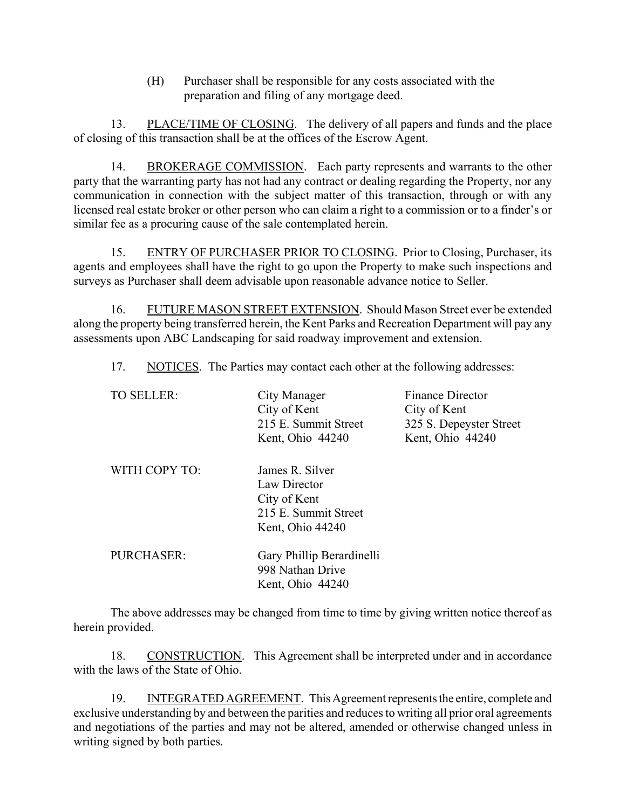(H) Purchaser shall be responsible for any costs associated with the preparation and filing of any mortgage deed.

13. PLACE/TIME OF CLOSING. The delivery of all papers and funds and the place of closing of this transaction shall be at the offices of the Escrow Agent.

14. BROKERAGE COMMISSION. Each party represents and warrants to the other party that the warranting party has not had any contract or dealing regarding the Property, nor any communication in connection with the subject matter of this transaction, through or with any licensed real estate broker or other person who can claim a right to a commission or to a finder's or similar fee as a procuring cause of the sale contemplated herein.

15. ENTRY OF PURCHASER PRIOR TO CLOSING. Prior to Closing, Purchaser, its agents and employees shall have the right to go upon the Property to make such inspections and surveys as Purchaser shall deem advisable upon reasonable advance notice to Seller.

16. FUTURE MASON STREET EXTENSION. Should Mason Street ever be extended along the property being transferred herein, the Kent Parks and Recreation Department will pay any assessments upon ABC Landscaping for said roadway improvement and extension.

17. NOTICES. The Parties may contact each other at the following addresses:

| <b>TO SELLER:</b> | City Manager              | <b>Finance Director</b> |
|-------------------|---------------------------|-------------------------|
|                   | City of Kent              | City of Kent            |
|                   | 215 E. Summit Street      | 325 S. Depeyster Street |
|                   | Kent, Ohio 44240          | Kent, Ohio 44240        |
| WITH COPY TO:     | James R. Silver           |                         |
|                   | Law Director              |                         |
|                   | City of Kent              |                         |
|                   | 215 E. Summit Street      |                         |
|                   | Kent, Ohio 44240          |                         |
| PURCHASER:        | Gary Phillip Berardinelli |                         |
|                   | 998 Nathan Drive          |                         |
|                   | Kent, Ohio 44240          |                         |
|                   |                           |                         |

The above addresses may be changed from time to time by giving written notice thereof as herein provided.

18. CONSTRUCTION. This Agreement shall be interpreted under and in accordance with the laws of the State of Ohio.

19. INTEGRATED AGREEMENT. This Agreement represents the entire, complete and exclusive understanding by and between the parities and reduces to writing all prior oral agreements and negotiations of the parties and may not be altered, amended or otherwise changed unless in writing signed by both parties.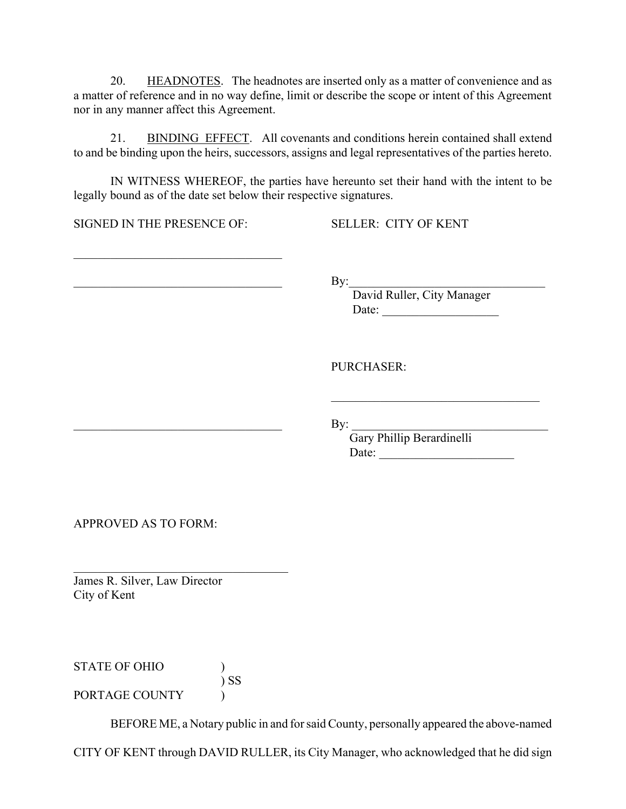20. HEADNOTES. The headnotes are inserted only as a matter of convenience and as a matter of reference and in no way define, limit or describe the scope or intent of this Agreement nor in any manner affect this Agreement.

21. BINDING EFFECT. All covenants and conditions herein contained shall extend to and be binding upon the heirs, successors, assigns and legal representatives of the parties hereto.

IN WITNESS WHEREOF, the parties have hereunto set their hand with the intent to be legally bound as of the date set below their respective signatures.

SIGNED IN THE PRESENCE OF: SELLER: CITY OF KENT

 $\mathcal{L}_\text{max}$  , where  $\mathcal{L}_\text{max}$  and  $\mathcal{L}_\text{max}$  and  $\mathcal{L}_\text{max}$ 

 $\gamma$  By:

 David Ruller, City Manager Date:

 $\mathcal{L}_\text{max}$  , where  $\mathcal{L}_\text{max}$  and  $\mathcal{L}_\text{max}$  and  $\mathcal{L}_\text{max}$ 

PURCHASER:

 $\qquad \qquad \text{By:}$ 

Gary Phillip Berardinelli Date: \_\_\_\_\_\_\_\_\_\_\_\_\_\_\_\_\_\_\_\_\_\_

APPROVED AS TO FORM:

James R. Silver, Law Director City of Kent

 $\mathcal{L}_\text{max}$ 

STATE OF OHIO (1) ) SS PORTAGE COUNTY  $\qquad$ 

BEFORE ME, a Notary public in and for said County, personally appeared the above-named

CITY OF KENT through DAVID RULLER, its City Manager, who acknowledged that he did sign